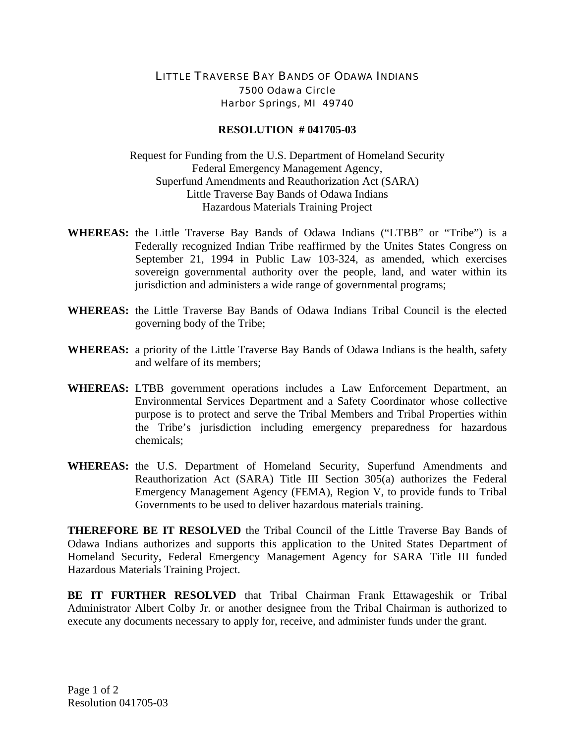## LITTLE TRAVERSE BAY BANDS OF ODAWA INDIANS 7500 Odawa Circle Harbor Springs, MI 49740

## **RESOLUTION # 041705-03**

Request for Funding from the U.S. Department of Homeland Security Federal Emergency Management Agency, Superfund Amendments and Reauthorization Act (SARA) Little Traverse Bay Bands of Odawa Indians Hazardous Materials Training Project

- **WHEREAS:** the Little Traverse Bay Bands of Odawa Indians ("LTBB" or "Tribe") is a Federally recognized Indian Tribe reaffirmed by the Unites States Congress on September 21, 1994 in Public Law 103-324, as amended, which exercises sovereign governmental authority over the people, land, and water within its jurisdiction and administers a wide range of governmental programs;
- **WHEREAS:** the Little Traverse Bay Bands of Odawa Indians Tribal Council is the elected governing body of the Tribe;
- **WHEREAS:** a priority of the Little Traverse Bay Bands of Odawa Indians is the health, safety and welfare of its members;
- **WHEREAS:** LTBB government operations includes a Law Enforcement Department, an Environmental Services Department and a Safety Coordinator whose collective purpose is to protect and serve the Tribal Members and Tribal Properties within the Tribe's jurisdiction including emergency preparedness for hazardous chemicals;
- **WHEREAS:** the U.S. Department of Homeland Security, Superfund Amendments and Reauthorization Act (SARA) Title III Section 305(a) authorizes the Federal Emergency Management Agency (FEMA), Region V, to provide funds to Tribal Governments to be used to deliver hazardous materials training.

**THEREFORE BE IT RESOLVED** the Tribal Council of the Little Traverse Bay Bands of Odawa Indians authorizes and supports this application to the United States Department of Homeland Security, Federal Emergency Management Agency for SARA Title III funded Hazardous Materials Training Project.

**BE IT FURTHER RESOLVED** that Tribal Chairman Frank Ettawageshik or Tribal Administrator Albert Colby Jr. or another designee from the Tribal Chairman is authorized to execute any documents necessary to apply for, receive, and administer funds under the grant.